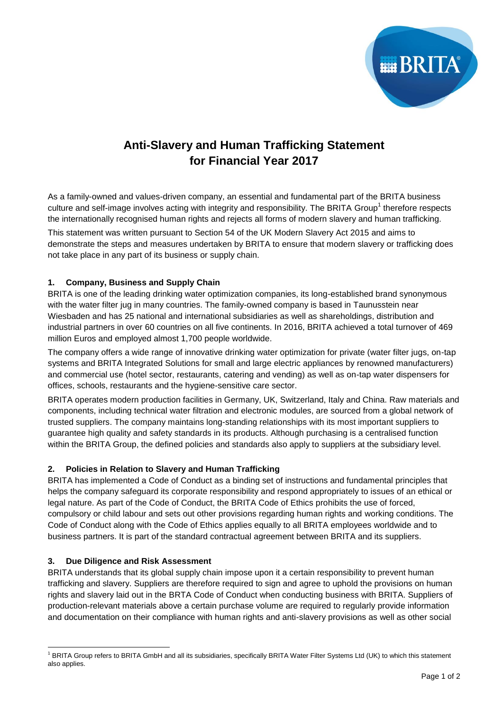

# **Anti-Slavery and Human Trafficking Statement for Financial Year 2017**

As a family-owned and values-driven company, an essential and fundamental part of the BRITA business culture and self-image involves acting with integrity and responsibility. The BRITA Group<sup>1</sup> therefore respects the internationally recognised human rights and rejects all forms of modern slavery and human trafficking.

This statement was written pursuant to Section 54 of the UK Modern Slavery Act 2015 and aims to demonstrate the steps and measures undertaken by BRITA to ensure that modern slavery or trafficking does not take place in any part of its business or supply chain.

# **1. Company, Business and Supply Chain**

BRITA is one of the leading drinking water optimization companies, its long-established brand synonymous with the water filter jug in many countries. The family-owned company is based in Taunusstein near Wiesbaden and has 25 national and international subsidiaries as well as shareholdings, distribution and industrial partners in over 60 countries on all five continents. In 2016, BRITA achieved a total turnover of 469 million Euros and employed almost 1,700 people worldwide.

The company offers a wide range of innovative drinking water optimization for private (water filter jugs, on-tap systems and BRITA Integrated Solutions for small and large electric appliances by renowned manufacturers) and commercial use (hotel sector, restaurants, catering and vending) as well as on-tap water dispensers for offices, schools, restaurants and the hygiene-sensitive care sector.

BRITA operates modern production facilities in Germany, UK, Switzerland, Italy and China. Raw materials and components, including technical water filtration and electronic modules, are sourced from a global network of trusted suppliers. The company maintains long-standing relationships with its most important suppliers to guarantee high quality and safety standards in its products. Although purchasing is a centralised function within the BRITA Group, the defined policies and standards also apply to suppliers at the subsidiary level.

# **2. Policies in Relation to Slavery and Human Trafficking**

BRITA has implemented a Code of Conduct as a binding set of instructions and fundamental principles that helps the company safeguard its corporate responsibility and respond appropriately to issues of an ethical or legal nature. As part of the Code of Conduct, the BRITA Code of Ethics prohibits the use of forced, compulsory or child labour and sets out other provisions regarding human rights and working conditions. The Code of Conduct along with the Code of Ethics applies equally to all BRITA employees worldwide and to business partners. It is part of the standard contractual agreement between BRITA and its suppliers.

### **3. Due Diligence and Risk Assessment**

-

BRITA understands that its global supply chain impose upon it a certain responsibility to prevent human trafficking and slavery. Suppliers are therefore required to sign and agree to uphold the provisions on human rights and slavery laid out in the BRTA Code of Conduct when conducting business with BRITA. Suppliers of production-relevant materials above a certain purchase volume are required to regularly provide information and documentation on their compliance with human rights and anti-slavery provisions as well as other social

<sup>&</sup>lt;sup>1</sup> BRITA Group refers to BRITA GmbH and all its subsidiaries, specifically BRITA Water Filter Systems Ltd (UK) to which this statement also applies.